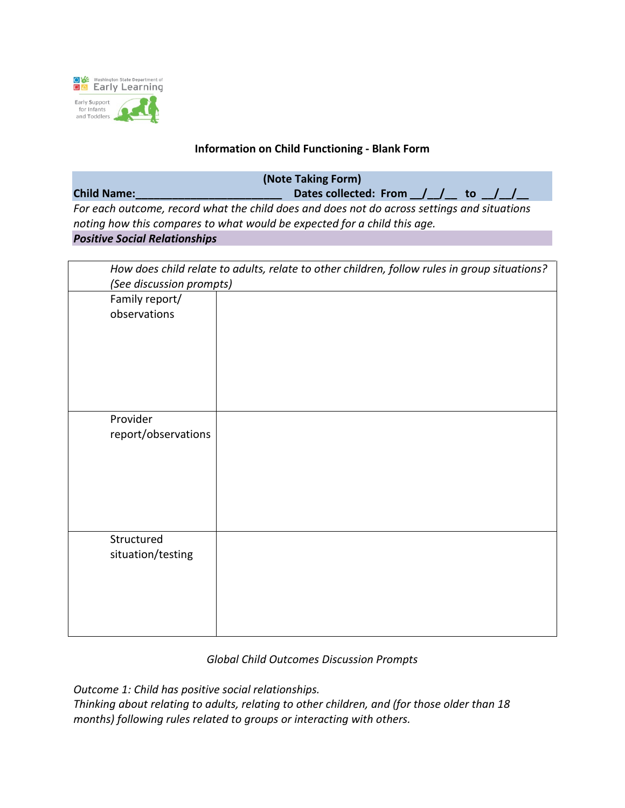

### **Information on Child Functioning - Blank Form**

**(Note Taking Form)**

**Child Name:\_\_\_\_\_\_\_\_\_\_\_\_\_\_\_\_\_\_\_\_\_\_\_\_ Dates collected: From \_\_/\_\_/\_\_ to \_\_/\_\_/\_\_** *For each outcome, record what the child does and does not do across settings and situations noting how this compares to what would be expected for a child this age.*

#### *Positive Social Relationships*

| How does child relate to adults, relate to other children, follow rules in group situations? |  |  |
|----------------------------------------------------------------------------------------------|--|--|
| (See discussion prompts)                                                                     |  |  |
| Family report/                                                                               |  |  |
| observations                                                                                 |  |  |
|                                                                                              |  |  |
|                                                                                              |  |  |
|                                                                                              |  |  |
|                                                                                              |  |  |
|                                                                                              |  |  |
|                                                                                              |  |  |
| Provider                                                                                     |  |  |
| report/observations                                                                          |  |  |
|                                                                                              |  |  |
|                                                                                              |  |  |
|                                                                                              |  |  |
|                                                                                              |  |  |
|                                                                                              |  |  |
|                                                                                              |  |  |
|                                                                                              |  |  |
| Structured                                                                                   |  |  |
| situation/testing                                                                            |  |  |
|                                                                                              |  |  |
|                                                                                              |  |  |
|                                                                                              |  |  |
|                                                                                              |  |  |
|                                                                                              |  |  |

## *Global Child Outcomes Discussion Prompts*

*Outcome 1: Child has positive social relationships.*

*Thinking about relating to adults, relating to other children, and (for those older than 18 months) following rules related to groups or interacting with others.*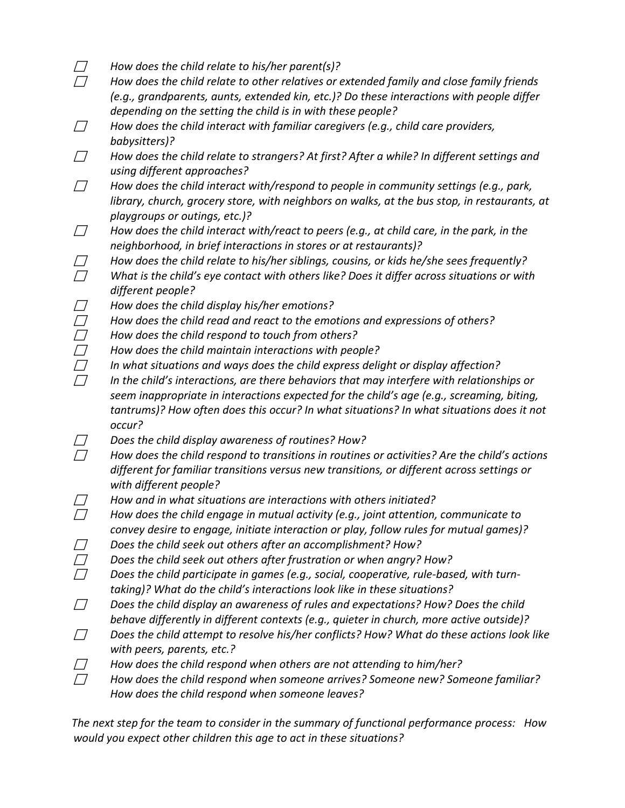- *How does the child relate to his/her parent(s)?*
- *How does the child relate to other relatives or extended family and close family friends (e.g., grandparents, aunts, extended kin, etc.)? Do these interactions with people differ depending on the setting the child is in with these people?*
- *How does the child interact with familiar caregivers (e.g., child care providers, babysitters)?*
- *How does the child relate to strangers? At first? After a while? In different settings and using different approaches?*
- *How does the child interact with/respond to people in community settings (e.g., park, library, church, grocery store, with neighbors on walks, at the bus stop, in restaurants, at playgroups or outings, etc.)?*
- *How does the child interact with/react to peers (e.g., at child care, in the park, in the neighborhood, in brief interactions in stores or at restaurants)?*
- *How does the child relate to his/her siblings, cousins, or kids he/she sees frequently? What is the child's eye contact with others like? Does it differ across situations or with different people?*
- *How does the child display his/her emotions?*
- *How does the child read and react to the emotions and expressions of others?*
- *How does the child respond to touch from others?*
- *How does the child maintain interactions with people?*
- *In what situations and ways does the child express delight or display affection?*
- *In the child's interactions, are there behaviors that may interfere with relationships or seem inappropriate in interactions expected for the child's age (e.g., screaming, biting, tantrums)? How often does this occur? In what situations? In what situations does it not occur?*
- *Does the child display awareness of routines? How?*
- *How does the child respond to transitions in routines or activities? Are the child's actions different for familiar transitions versus new transitions, or different across settings or with different people?*
- *How and in what situations are interactions with others initiated?*
- *How does the child engage in mutual activity (e.g., joint attention, communicate to convey desire to engage, initiate interaction or play, follow rules for mutual games)?*
- *Does the child seek out others after an accomplishment? How?*
- *Does the child seek out others after frustration or when angry? How?*
- *Does the child participate in games (e.g., social, cooperative, rule-based, with turntaking)? What do the child's interactions look like in these situations?*
- *Does the child display an awareness of rules and expectations? How? Does the child behave differently in different contexts (e.g., quieter in church, more active outside)?*
- *Does the child attempt to resolve his/her conflicts? How? What do these actions look like with peers, parents, etc.?*
- *How does the child respond when others are not attending to him/her?*
- *How does the child respond when someone arrives? Someone new? Someone familiar? How does the child respond when someone leaves?*

*The next step for the team to consider in the summary of functional performance process: How would you expect other children this age to act in these situations?*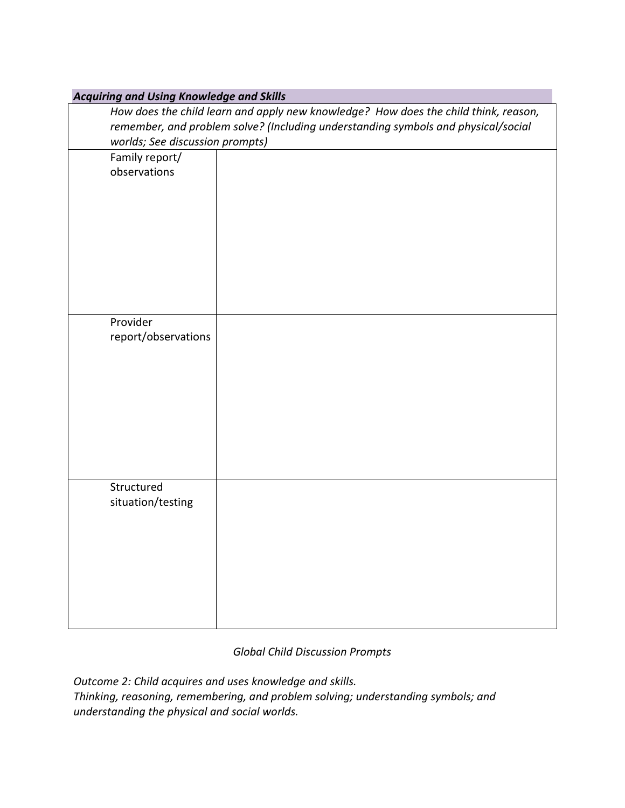| <b>Acquiring and Using Knowledge and Skills</b>                                     |  |  |
|-------------------------------------------------------------------------------------|--|--|
| How does the child learn and apply new knowledge? How does the child think, reason, |  |  |
| remember, and problem solve? (Including understanding symbols and physical/social   |  |  |
| worlds; See discussion prompts)                                                     |  |  |
| Family report/                                                                      |  |  |
| observations                                                                        |  |  |
|                                                                                     |  |  |
|                                                                                     |  |  |
|                                                                                     |  |  |
|                                                                                     |  |  |
|                                                                                     |  |  |
|                                                                                     |  |  |
|                                                                                     |  |  |
|                                                                                     |  |  |
|                                                                                     |  |  |
| Provider                                                                            |  |  |
| report/observations                                                                 |  |  |
|                                                                                     |  |  |
|                                                                                     |  |  |
|                                                                                     |  |  |
|                                                                                     |  |  |
|                                                                                     |  |  |
|                                                                                     |  |  |
|                                                                                     |  |  |
|                                                                                     |  |  |
| Structured                                                                          |  |  |
|                                                                                     |  |  |
| situation/testing                                                                   |  |  |
|                                                                                     |  |  |
|                                                                                     |  |  |
|                                                                                     |  |  |
|                                                                                     |  |  |
|                                                                                     |  |  |
|                                                                                     |  |  |
|                                                                                     |  |  |
|                                                                                     |  |  |

# *Global Child Discussion Prompts*

*Outcome 2: Child acquires and uses knowledge and skills. Thinking, reasoning, remembering, and problem solving; understanding symbols; and understanding the physical and social worlds.*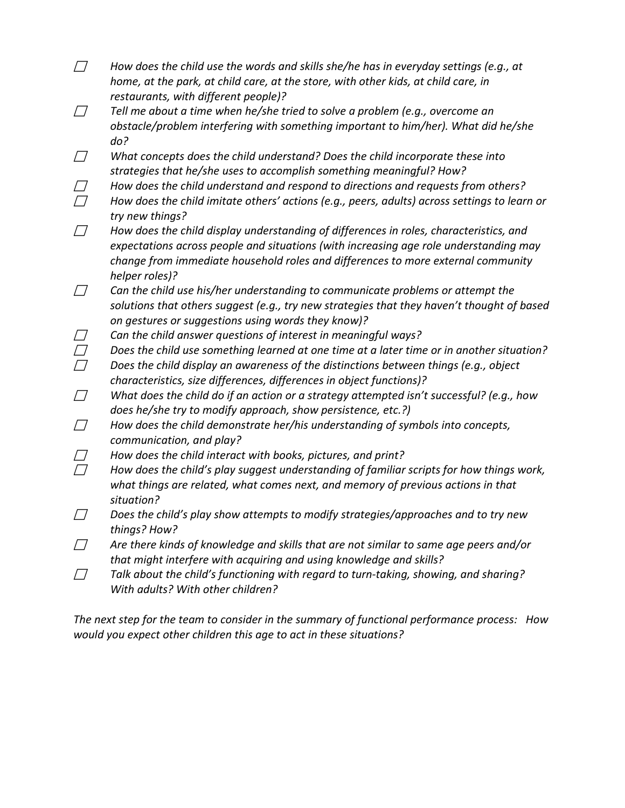- *How does the child use the words and skills she/he has in everyday settings (e.g., at home, at the park, at child care, at the store, with other kids, at child care, in restaurants, with different people)?*
- *Tell me about a time when he/she tried to solve a problem (e.g., overcome an obstacle/problem interfering with something important to him/her). What did he/she do?*
- *What concepts does the child understand? Does the child incorporate these into strategies that he/she uses to accomplish something meaningful? How?*
- *How does the child understand and respond to directions and requests from others?*
- *How does the child imitate others' actions (e.g., peers, adults) across settings to learn or try new things?*
- *How does the child display understanding of differences in roles, characteristics, and expectations across people and situations (with increasing age role understanding may change from immediate household roles and differences to more external community helper roles)?*
- *Can the child use his/her understanding to communicate problems or attempt the solutions that others suggest (e.g., try new strategies that they haven't thought of based on gestures or suggestions using words they know)?*
- *Can the child answer questions of interest in meaningful ways?*
- *Does the child use something learned at one time at a later time or in another situation?*
- *Does the child display an awareness of the distinctions between things (e.g., object characteristics, size differences, differences in object functions)?*
- *What does the child do if an action or a strategy attempted isn't successful? (e.g., how does he/she try to modify approach, show persistence, etc.?)*
- *How does the child demonstrate her/his understanding of symbols into concepts, communication, and play?*
- *How does the child interact with books, pictures, and print?*
- *How does the child's play suggest understanding of familiar scripts for how things work, what things are related, what comes next, and memory of previous actions in that situation?*
- *Does the child's play show attempts to modify strategies/approaches and to try new things? How?*
- *Are there kinds of knowledge and skills that are not similar to same age peers and/or that might interfere with acquiring and using knowledge and skills?*
- *Talk about the child's functioning with regard to turn-taking, showing, and sharing? With adults? With other children?*

*The next step for the team to consider in the summary of functional performance process: How would you expect other children this age to act in these situations?*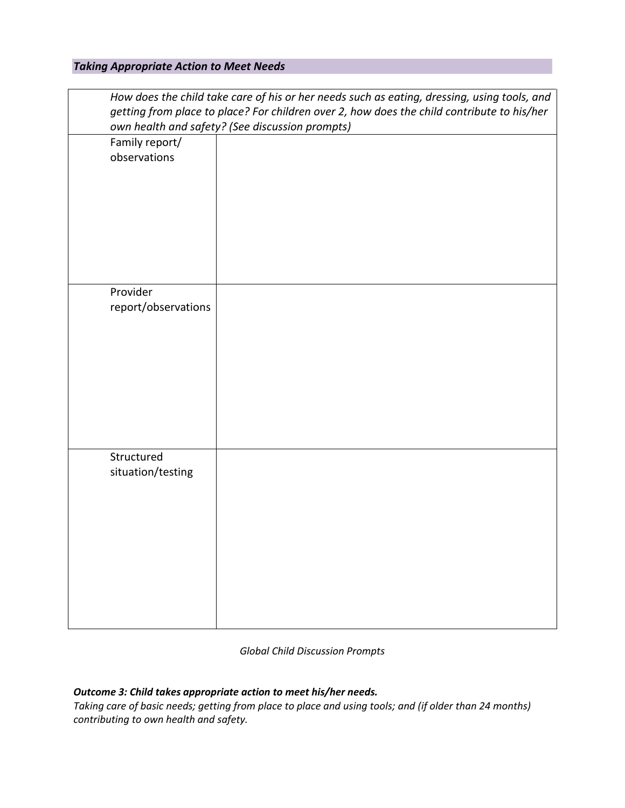### *Taking Appropriate Action to Meet Needs*

| How does the child take care of his or her needs such as eating, dressing, using tools, and<br>getting from place to place? For children over 2, how does the child contribute to his/her<br>own health and safety? (See discussion prompts) |  |
|----------------------------------------------------------------------------------------------------------------------------------------------------------------------------------------------------------------------------------------------|--|
| Family report/<br>observations                                                                                                                                                                                                               |  |
| Provider<br>report/observations                                                                                                                                                                                                              |  |
| Structured<br>situation/testing                                                                                                                                                                                                              |  |

#### *Global Child Discussion Prompts*

# *Outcome 3: Child takes appropriate action to meet his/her needs.*

*Taking care of basic needs; getting from place to place and using tools; and (if older than 24 months) contributing to own health and safety.*